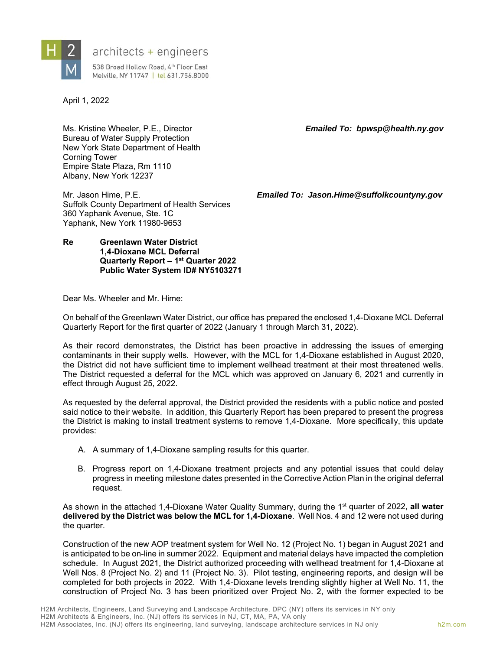

## architects + engineers

538 Broad Hollow Road, 4th Floor East Melville, NY 11747 | tel 631.756.8000

April 1, 2022

Ms. Kristine Wheeler, P.E., Director *Emailed To: bpwsp@health.ny.gov*  Bureau of Water Supply Protection New York State Department of Health Corning Tower Empire State Plaza, Rm 1110 Albany, New York 12237

Suffolk County Department of Health Services 360 Yaphank Avenue, Ste. 1C Yaphank, New York 11980-9653

Mr. Jason Hime, P.E. *Emailed To: Jason.Hime@suffolkcountyny.gov*

**Re Greenlawn Water District 1,4-Dioxane MCL Deferral Quarterly Report – 1st Quarter 2022 Public Water System ID# NY5103271** 

Dear Ms. Wheeler and Mr. Hime:

On behalf of the Greenlawn Water District, our office has prepared the enclosed 1,4-Dioxane MCL Deferral Quarterly Report for the first quarter of 2022 (January 1 through March 31, 2022).

As their record demonstrates, the District has been proactive in addressing the issues of emerging contaminants in their supply wells. However, with the MCL for 1,4-Dioxane established in August 2020, the District did not have sufficient time to implement wellhead treatment at their most threatened wells. The District requested a deferral for the MCL which was approved on January 6, 2021 and currently in effect through August 25, 2022.

As requested by the deferral approval, the District provided the residents with a public notice and posted said notice to their website. In addition, this Quarterly Report has been prepared to present the progress the District is making to install treatment systems to remove 1,4-Dioxane. More specifically, this update provides:

- A. A summary of 1,4-Dioxane sampling results for this quarter.
- B. Progress report on 1,4-Dioxane treatment projects and any potential issues that could delay progress in meeting milestone dates presented in the Corrective Action Plan in the original deferral request.

As shown in the attached 1,4-Dioxane Water Quality Summary, during the 1<sup>st</sup> quarter of 2022, all water **delivered by the District was below the MCL for 1,4-Dioxane**. Well Nos. 4 and 12 were not used during the quarter.

Construction of the new AOP treatment system for Well No. 12 (Project No. 1) began in August 2021 and is anticipated to be on-line in summer 2022. Equipment and material delays have impacted the completion schedule. In August 2021, the District authorized proceeding with wellhead treatment for 1,4-Dioxane at Well Nos. 8 (Project No. 2) and 11 (Project No. 3). Pilot testing, engineering reports, and design will be completed for both projects in 2022. With 1,4-Dioxane levels trending slightly higher at Well No. 11, the construction of Project No. 3 has been prioritized over Project No. 2, with the former expected to be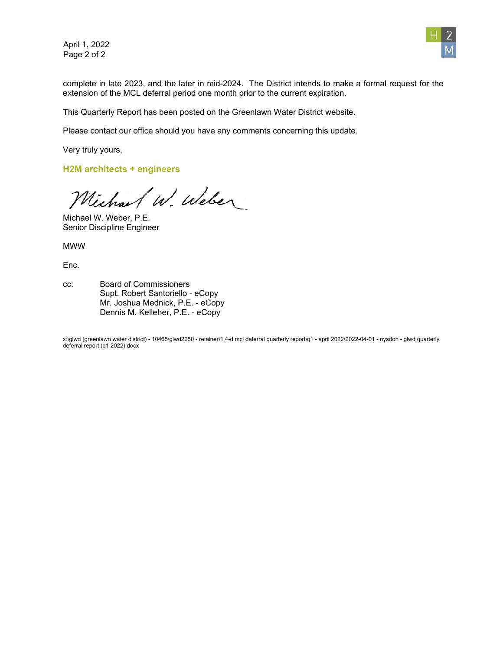April 1, 2022 Page 2 of 2



complete in late 2023, and the later in mid-2024. The District intends to make a formal request for the extension of the MCL deferral period one month prior to the current expiration.

This Quarterly Report has been posted on the Greenlawn Water District website.

Please contact our office should you have any comments concerning this update.

Very truly yours,

**H2M architects + engineers**

Michael W. Weber

Michael W. Weber, P.E. Senior Discipline Engineer

MWW

Enc.

cc: Board of Commissioners Supt. Robert Santoriello - eCopy Mr. Joshua Mednick, P.E. - eCopy Dennis M. Kelleher, P.E. - eCopy

x:\glwd (greenlawn water district) - 10465\glwd2250 - retainer\1,4-d mcl deferral quarterly report\q1 - april 2022\2022-04-01 - nysdoh - glwd quarterly deferral report (q1 2022).docx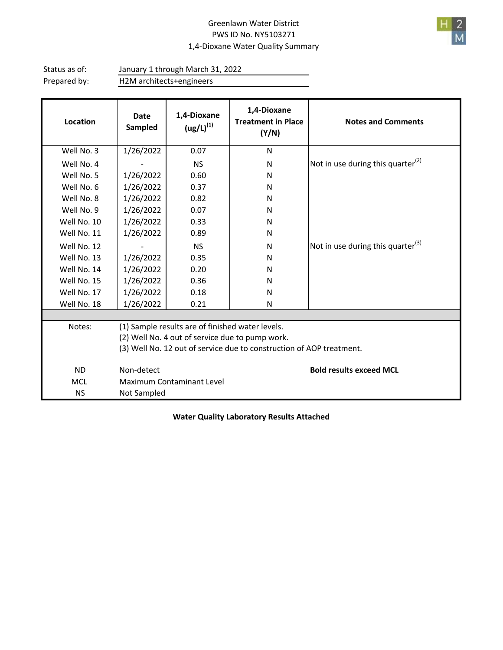## Greenlawn Water District PWS ID No. NY5103271 1,4‐Dioxane Water Quality Summary



Status as of: Prepared by: H2M architects+engineers January 1 through March 31, 2022

| Location    | <b>Date</b><br>Sampled                                               | 1,4-Dioxane<br>$\left( \frac{u g}{L} \right)^{(1)}$ | 1,4-Dioxane<br><b>Treatment in Place</b><br>(Y/N) | <b>Notes and Comments</b>                     |  |  |  |  |
|-------------|----------------------------------------------------------------------|-----------------------------------------------------|---------------------------------------------------|-----------------------------------------------|--|--|--|--|
| Well No. 3  | 1/26/2022                                                            | 0.07                                                | N                                                 |                                               |  |  |  |  |
| Well No. 4  |                                                                      | <b>NS</b>                                           | N                                                 | Not in use during this quarter $^{(2)}$       |  |  |  |  |
| Well No. 5  | 1/26/2022                                                            | 0.60                                                | N                                                 |                                               |  |  |  |  |
| Well No. 6  | 1/26/2022                                                            | 0.37                                                | N                                                 |                                               |  |  |  |  |
| Well No. 8  | 1/26/2022                                                            | 0.82                                                | N                                                 |                                               |  |  |  |  |
| Well No. 9  | 1/26/2022                                                            | 0.07                                                | N                                                 |                                               |  |  |  |  |
| Well No. 10 | 1/26/2022                                                            | 0.33                                                | N                                                 |                                               |  |  |  |  |
| Well No. 11 | 1/26/2022                                                            | 0.89                                                | N                                                 |                                               |  |  |  |  |
| Well No. 12 |                                                                      | <b>NS</b>                                           | N                                                 | Not in use during this quarter <sup>(3)</sup> |  |  |  |  |
| Well No. 13 | 1/26/2022                                                            | 0.35                                                | N                                                 |                                               |  |  |  |  |
| Well No. 14 | 1/26/2022                                                            | 0.20                                                | N                                                 |                                               |  |  |  |  |
| Well No. 15 | 1/26/2022                                                            | 0.36                                                | N                                                 |                                               |  |  |  |  |
| Well No. 17 | 1/26/2022                                                            | 0.18                                                | N                                                 |                                               |  |  |  |  |
| Well No. 18 | 1/26/2022                                                            | 0.21                                                | N                                                 |                                               |  |  |  |  |
|             |                                                                      |                                                     |                                                   |                                               |  |  |  |  |
| Notes:      | (1) Sample results are of finished water levels.                     |                                                     |                                                   |                                               |  |  |  |  |
|             | (2) Well No. 4 out of service due to pump work.                      |                                                     |                                                   |                                               |  |  |  |  |
|             | (3) Well No. 12 out of service due to construction of AOP treatment. |                                                     |                                                   |                                               |  |  |  |  |
| <b>ND</b>   | Non-detect                                                           |                                                     |                                                   | <b>Bold results exceed MCL</b>                |  |  |  |  |
| <b>MCL</b>  | Maximum Contaminant Level                                            |                                                     |                                                   |                                               |  |  |  |  |
| <b>NS</b>   | Not Sampled                                                          |                                                     |                                                   |                                               |  |  |  |  |

**Water Quality Laboratory Results Attached**